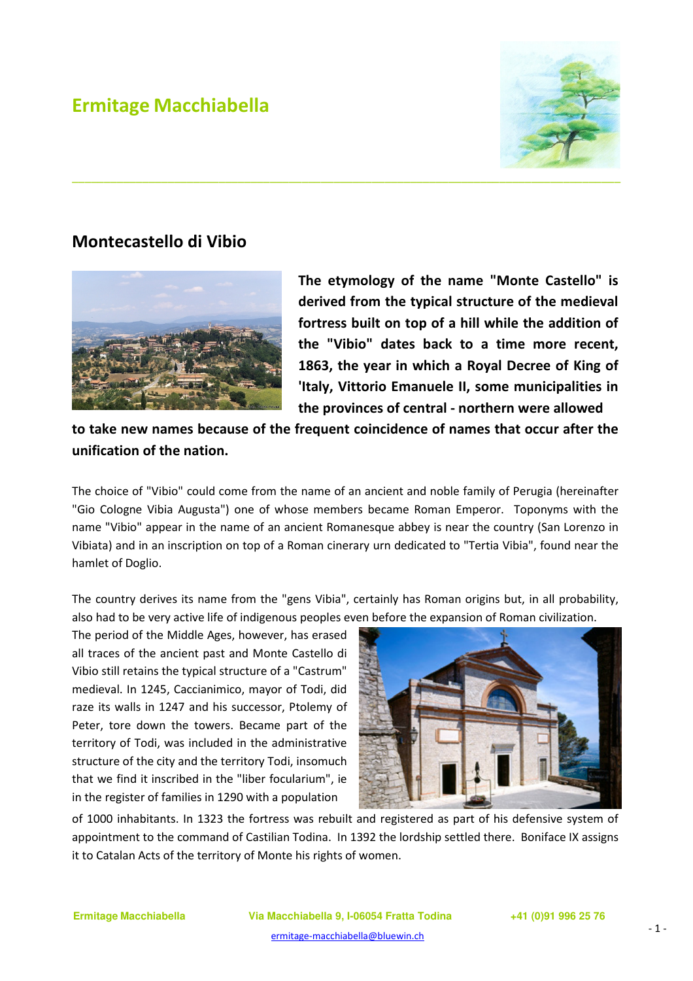## Ermitage Macchiabella



## Montecastello di Vibio



The etymology of the name "Monte Castello" is derived from the typical structure of the medieval fortress built on top of a hill while the addition of the "Vibio" dates back to a time more recent, 1863, the year in which a Royal Decree of King of 'Italy, Vittorio Emanuele II, some municipalities in the provinces of central - northern were allowed

to take new names because of the frequent coincidence of names that occur after the unification of the nation.

The choice of "Vibio" could come from the name of an ancient and noble family of Perugia (hereinafter "Gio Cologne Vibia Augusta") one of whose members became Roman Emperor. Toponyms with the name "Vibio" appear in the name of an ancient Romanesque abbey is near the country (San Lorenzo in Vibiata) and in an inscription on top of a Roman cinerary urn dedicated to "Tertia Vibia", found near the hamlet of Doglio.

The country derives its name from the "gens Vibia", certainly has Roman origins but, in all probability, also had to be very active life of indigenous peoples even before the expansion of Roman civilization.

The period of the Middle Ages, however, has erased all traces of the ancient past and Monte Castello di Vibio still retains the typical structure of a "Castrum" medieval. In 1245, Caccianimico, mayor of Todi, did raze its walls in 1247 and his successor, Ptolemy of Peter, tore down the towers. Became part of the territory of Todi, was included in the administrative structure of the city and the territory Todi, insomuch that we find it inscribed in the "liber focularium", ie in the register of families in 1290 with a population



of 1000 inhabitants. In 1323 the fortress was rebuilt and registered as part of his defensive system of appointment to the command of Castilian Todina. In 1392 the lordship settled there. Boniface IX assigns it to Catalan Acts of the territory of Monte his rights of women.